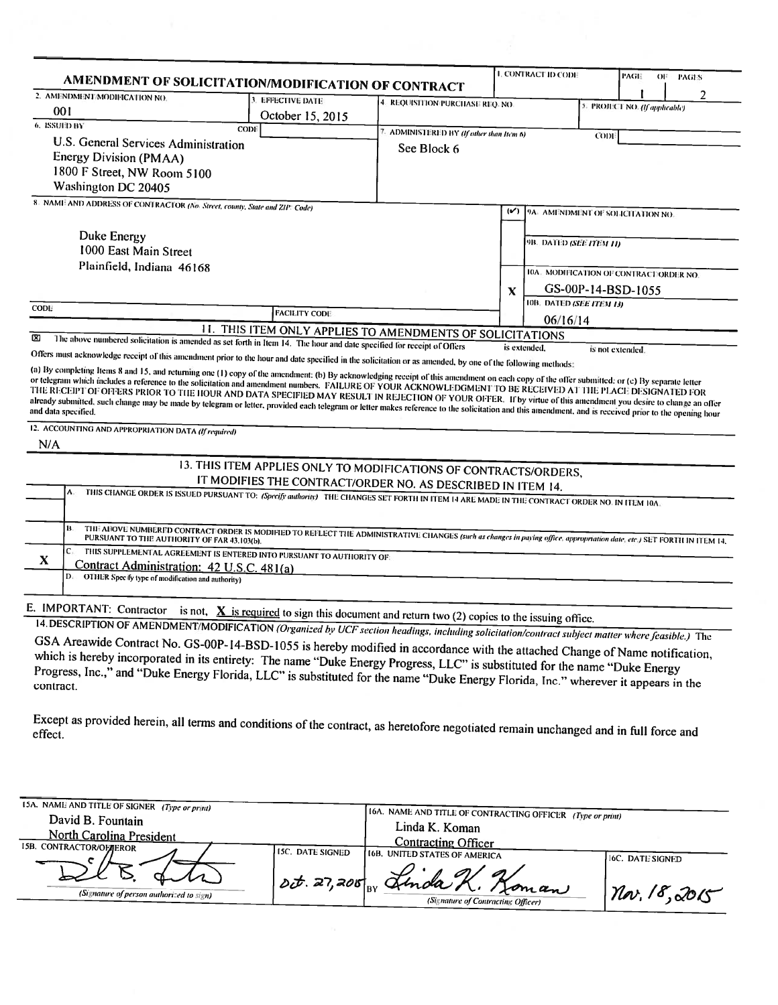|                                                                                                                                                                                                                                                                    | AMENDMENT OF SOLICITATION/MODIFICATION OF CONTRACT                                                                                                                                 |                                  |               | <b>I. CONTRACT ID CODE</b>                                    |  | PAGE<br>OF.                    | <b>PAGES</b> |   |
|--------------------------------------------------------------------------------------------------------------------------------------------------------------------------------------------------------------------------------------------------------------------|------------------------------------------------------------------------------------------------------------------------------------------------------------------------------------|----------------------------------|---------------|---------------------------------------------------------------|--|--------------------------------|--------------|---|
| 2. AMENDMENT/MODIFICATION NO.                                                                                                                                                                                                                                      |                                                                                                                                                                                    |                                  |               |                                                               |  |                                |              | 2 |
| 001                                                                                                                                                                                                                                                                | 3. EFFECTIVE DATE                                                                                                                                                                  | 4. REQUISITION PURCHASE REQ. NO. |               |                                                               |  | 5. PROJECT NO. (If applicable) |              |   |
| 6. ISSUED BY                                                                                                                                                                                                                                                       | October 15, 2015<br><b>CODI</b>                                                                                                                                                    |                                  |               |                                                               |  |                                |              |   |
|                                                                                                                                                                                                                                                                    | 7. ADMINISTERED BY (If other than Item 6)<br>CODI                                                                                                                                  |                                  |               |                                                               |  |                                |              |   |
| U.S. General Services Administration                                                                                                                                                                                                                               |                                                                                                                                                                                    | See Block 6                      |               |                                                               |  |                                |              |   |
| <b>Energy Division (PMAA)</b>                                                                                                                                                                                                                                      |                                                                                                                                                                                    |                                  |               |                                                               |  |                                |              |   |
| 1800 F Street, NW Room 5100                                                                                                                                                                                                                                        |                                                                                                                                                                                    |                                  |               |                                                               |  |                                |              |   |
| Washington DC 20405                                                                                                                                                                                                                                                |                                                                                                                                                                                    |                                  |               |                                                               |  |                                |              |   |
| 8. NAME AND ADDRESS OF CONTRACTOR (No. Street, county, State and ZIP: Code)                                                                                                                                                                                        |                                                                                                                                                                                    |                                  | $(\check{v})$ | 9A. AMENDMENT OF SOLICITATION NO.                             |  |                                |              |   |
|                                                                                                                                                                                                                                                                    |                                                                                                                                                                                    |                                  |               |                                                               |  |                                |              |   |
| Duke Energy                                                                                                                                                                                                                                                        |                                                                                                                                                                                    |                                  |               | 9B. DATED (SEE ITEM 11)                                       |  |                                |              |   |
| 1000 East Main Street                                                                                                                                                                                                                                              |                                                                                                                                                                                    |                                  |               |                                                               |  |                                |              |   |
| Plainfield, Indiana 46168                                                                                                                                                                                                                                          |                                                                                                                                                                                    |                                  |               |                                                               |  |                                |              |   |
|                                                                                                                                                                                                                                                                    |                                                                                                                                                                                    |                                  |               | 10A. MODIFICATION OF CONTRACT/ORDER NO.<br>GS-00P-14-BSD-1055 |  |                                |              |   |
|                                                                                                                                                                                                                                                                    |                                                                                                                                                                                    |                                  | X             |                                                               |  |                                |              |   |
| <b>CODE</b>                                                                                                                                                                                                                                                        | <b>FACILITY CODE</b>                                                                                                                                                               |                                  |               | 10B. DATED (SEE ITEM 13)                                      |  |                                |              |   |
|                                                                                                                                                                                                                                                                    |                                                                                                                                                                                    |                                  |               | 06/16/14                                                      |  |                                |              |   |
| ⊠                                                                                                                                                                                                                                                                  | 11. THIS ITEM ONLY APPLIES TO AMENDMENTS OF SOLICITATIONS<br>The above numbered solicitation is amended as set forth in Item 14. The hour and date specified for receipt of Offers |                                  |               |                                                               |  |                                |              |   |
| Offers must acknowledge receipt of this amendment prior to the hour and date specified in the solicitation or as amended, by one of the following methods:                                                                                                         |                                                                                                                                                                                    |                                  |               | is extended.                                                  |  | is not extended.               |              |   |
| already submitted, such change may be made by telegram or letter, provided each telegram or letter makes reference to the solicitation and this amendment, and is received prior to the opening hour<br>12. ACCOUNTING AND APPROPRIATION DATA (If required)<br>N/A |                                                                                                                                                                                    |                                  |               |                                                               |  |                                |              |   |
|                                                                                                                                                                                                                                                                    | 13. THIS ITEM APPLIES ONLY TO MODIFICATIONS OF CONTRACTS/ORDERS,                                                                                                                   |                                  |               |                                                               |  |                                |              |   |
|                                                                                                                                                                                                                                                                    | IT MODIFIES THE CONTRACT/ORDER NO. AS DESCRIBED IN ITEM 14.                                                                                                                        |                                  |               |                                                               |  |                                |              |   |
| ۸.                                                                                                                                                                                                                                                                 | THIS CHANGE ORDER IS ISSUED PURSUANT TO: (Specify authority) THE CHANGES SET FORTH IN ITEM 14 ARE MADE IN THE CONTRACT ORDER NO. IN ITEM 10A.                                      |                                  |               |                                                               |  |                                |              |   |
|                                                                                                                                                                                                                                                                    |                                                                                                                                                                                    |                                  |               |                                                               |  |                                |              |   |
|                                                                                                                                                                                                                                                                    | THE ABOVE NUMBERED CONTRACT ORDER IS MODIFIED TO REFLECT THE ADMINISTRATIVE CHANGES (such as changes in paying office, appropriation date, etc.) SET FORTH IN ITEM 14,             |                                  |               |                                                               |  |                                |              |   |
| C.                                                                                                                                                                                                                                                                 | THIS SUPPLEMENTAL AGREEMENT IS ENTERED INTO PURSUANT TO AUTHORITY OF                                                                                                               |                                  |               |                                                               |  |                                |              |   |
| X<br>Contract Administration: 42 U.S.C. 481(a)                                                                                                                                                                                                                     |                                                                                                                                                                                    |                                  |               |                                                               |  |                                |              |   |
| D.<br>OTHER Specify type of modification and authority)                                                                                                                                                                                                            |                                                                                                                                                                                    |                                  |               |                                                               |  |                                |              |   |
|                                                                                                                                                                                                                                                                    |                                                                                                                                                                                    |                                  |               |                                                               |  |                                |              |   |
| E. IMPORTANT: Contractor is not, $\underline{X}$ is required to sign this document and return two (2) copies to the issuing office.                                                                                                                                |                                                                                                                                                                                    |                                  |               |                                                               |  |                                |              |   |
|                                                                                                                                                                                                                                                                    |                                                                                                                                                                                    |                                  |               |                                                               |  |                                |              |   |
| 14. DESCRIPTION OF AMENDMENT/MODIFICATION (Organized by UCF section headings, including solicitation/contract subject matter where feasible.) The                                                                                                                  |                                                                                                                                                                                    |                                  |               |                                                               |  |                                |              |   |
| GSA Areawide Contract No. GS-00P-14-BSD-1055 is hereby modified in accordance with the attached Change of Name notification,                                                                                                                                       |                                                                                                                                                                                    |                                  |               |                                                               |  |                                |              |   |
| which is hereby incorporated in its entirety: The name "Duke Energy Progress, LLC" is substituted for the name "Duke Energy                                                                                                                                        |                                                                                                                                                                                    |                                  |               |                                                               |  |                                |              |   |
| Progress, Inc.," and "Duke Energy Florida, LLC" is substituted for the name "Duke Energy Florida, Inc." wherever it appears in the<br>contract.                                                                                                                    |                                                                                                                                                                                    |                                  |               |                                                               |  |                                |              |   |
|                                                                                                                                                                                                                                                                    |                                                                                                                                                                                    |                                  |               |                                                               |  |                                |              |   |
|                                                                                                                                                                                                                                                                    |                                                                                                                                                                                    |                                  |               |                                                               |  |                                |              |   |
|                                                                                                                                                                                                                                                                    |                                                                                                                                                                                    |                                  |               |                                                               |  |                                |              |   |
| Except as provided herein, all terms and conditions of the contract, as heretofore negotiated remain unchanged and in full force and<br>effect.                                                                                                                    |                                                                                                                                                                                    |                                  |               |                                                               |  |                                |              |   |

| 15A. NAME AND TITLE OF SIGNER (Type or print) |                  |                                                             |                  |
|-----------------------------------------------|------------------|-------------------------------------------------------------|------------------|
| David B. Fountain                             |                  | [16A. NAME AND TITLE OF CONTRACTING OFFICER (Type or print) |                  |
|                                               |                  | Linda K. Koman                                              |                  |
| <b>North Carolina President</b>               |                  | <b>Contracting Officer</b>                                  |                  |
| <b>15B. CONTRACTOR/OF TEROR</b>               | LSC. DATE SIGNED | <b>(16B. UNITED STATES OF AMERICA</b>                       |                  |
|                                               |                  |                                                             | 16C. DATE SIGNED |
|                                               |                  | 10t. 27, 200 or Linda K. Koman                              |                  |
|                                               |                  |                                                             | Nov. 18,2015     |
| (Signature of person authorized to sign)      |                  | (Signature of Contracting Officer)                          |                  |